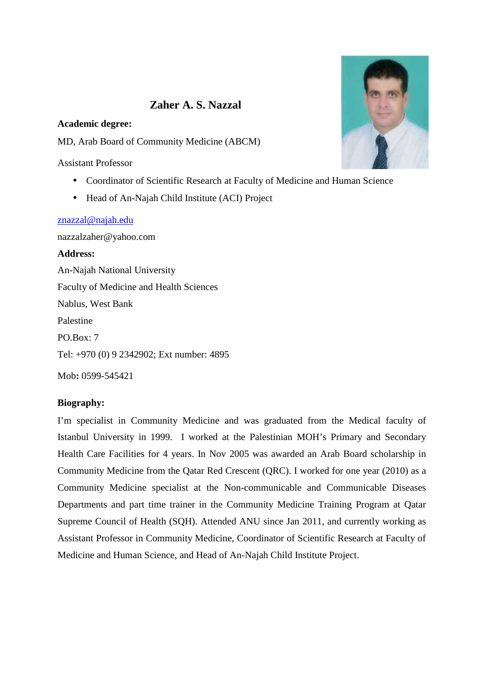# **Zaher A. S. Nazzal**

#### **Academic degree:**

MD, Arab Board of Community Medicine (ABCM)

Assistant Professor

- Coordinator of Scientific Research at Faculty of Medicine and Human Science
- Head of An-Najah Child Institute (ACI) Project

#### znazzal@najah.edu

nazzalzaher@yahoo.com

**Address:** An-Najah National University Faculty of Medicine and Health Sciences Nablus, West Bank Palestine PO.Box: 7 Tel: +970 (0) 9 2342902; Ext number: 4895

Mob**:** 0599-545421

#### **Biography:**

I'm specialist in Community Medicine and was graduated from the Medical faculty of Istanbul University in 1999. I worked at the Palestinian MOH's Primary and Secondary Health Care Facilities for 4 years. In Nov 2005 was awarded an Arab Board scholarship in Community Medicine from the Qatar Red Crescent (QRC). I worked for one year (2010) as a Community Medicine specialist at the Non-communicable and Communicable Diseases Departments and part time trainer in the Community Medicine Training Program at Qatar Supreme Council of Health (SQH). Attended ANU since Jan 2011, and currently working as Assistant Professor in Community Medicine, Coordinator of Scientific Research at Faculty of Medicine and Human Science, and Head of An-Najah Child Institute Project.